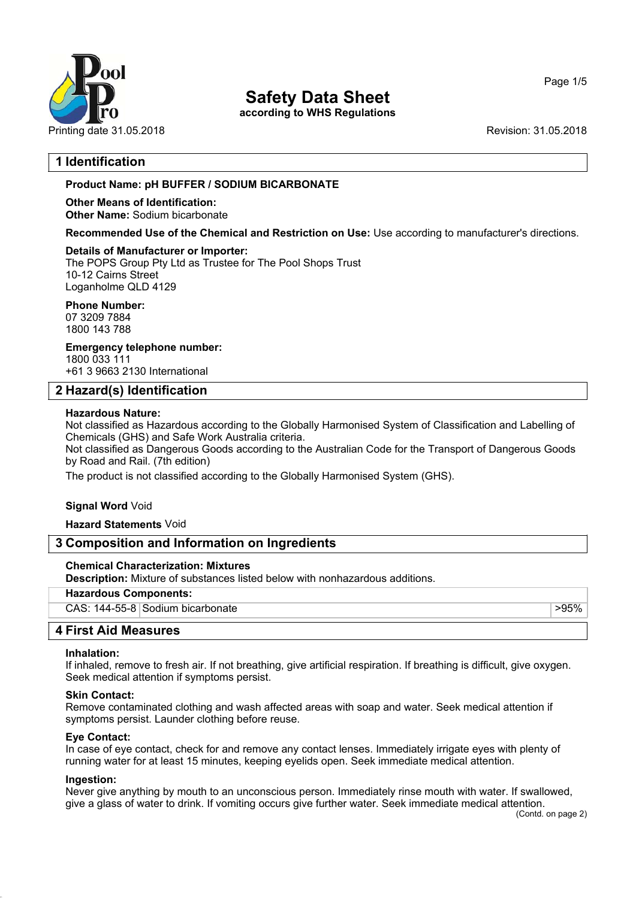

**according to WHS Regulations**

## **1 Identification**

## **Product Name: pH BUFFER / SODIUM BICARBONATE**

#### **Other Means of Identification: Other Name:** Sodium bicarbonate

**Recommended Use of the Chemical and Restriction on Use:** Use according to manufacturer's directions.

## **Details of Manufacturer or Importer:**

The POPS Group Pty Ltd as Trustee for The Pool Shops Trust 10-12 Cairns Street Loganholme QLD 4129

# **Phone Number:**

07 3209 7884 1800 143 788

**Emergency telephone number:** 1800 033 111

+61 3 9663 2130 International

## **2 Hazard(s) Identification**

## **Hazardous Nature:**

Not classified as Hazardous according to the Globally Harmonised System of Classification and Labelling of Chemicals (GHS) and Safe Work Australia criteria.

Not classified as Dangerous Goods according to the Australian Code for the Transport of Dangerous Goods by Road and Rail. (7th edition)

The product is not classified according to the Globally Harmonised System (GHS).

## **Signal Word** Void

**Hazard Statements** Void

## **3 Composition and Information on Ingredients**

## **Chemical Characterization: Mixtures**

**Description:** Mixture of substances listed below with nonhazardous additions.

## **Hazardous Components:**

CAS: 144-55-8 Sodium bicarbonate >95%

## **4 First Aid Measures**

#### **Inhalation:**

If inhaled, remove to fresh air. If not breathing, give artificial respiration. If breathing is difficult, give oxygen. Seek medical attention if symptoms persist.

#### **Skin Contact:**

Remove contaminated clothing and wash affected areas with soap and water. Seek medical attention if symptoms persist. Launder clothing before reuse.

#### **Eye Contact:**

In case of eye contact, check for and remove any contact lenses. Immediately irrigate eyes with plenty of running water for at least 15 minutes, keeping eyelids open. Seek immediate medical attention.

#### **Ingestion:**

Never give anything by mouth to an unconscious person. Immediately rinse mouth with water. If swallowed, give a glass of water to drink. If vomiting occurs give further water. Seek immediate medical attention.

#### Page 1/5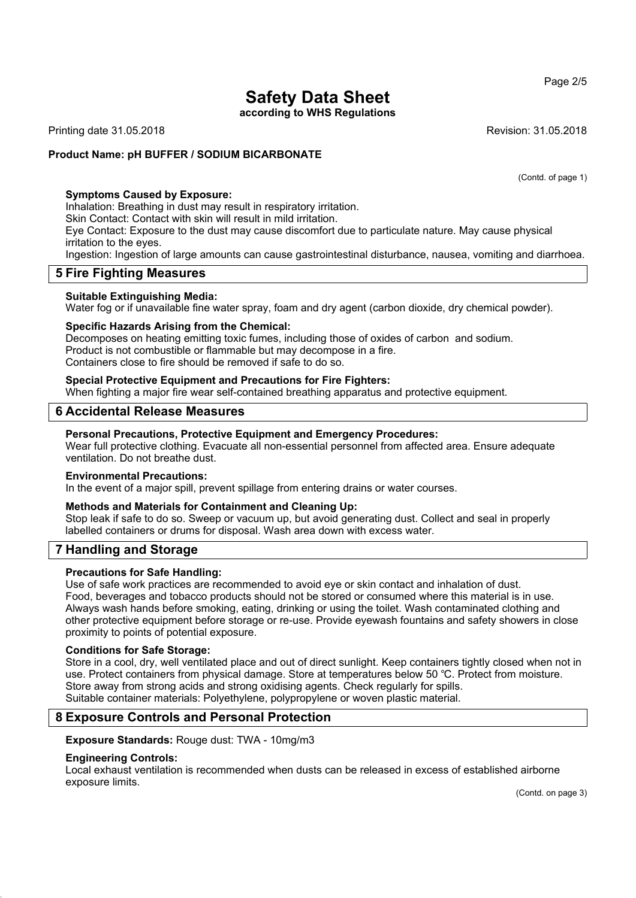**according to WHS Regulations**

Printing date 31.05.2018 **Revision: 31.05.2018** Revision: 31.05.2018

## **Product Name: pH BUFFER / SODIUM BICARBONATE**

(Contd. of page 1)

## **Symptoms Caused by Exposure:**

Inhalation: Breathing in dust may result in respiratory irritation.

Skin Contact: Contact with skin will result in mild irritation.

Eye Contact: Exposure to the dust may cause discomfort due to particulate nature. May cause physical irritation to the eyes.

Ingestion: Ingestion of large amounts can cause gastrointestinal disturbance, nausea, vomiting and diarrhoea.

## **5 Fire Fighting Measures**

#### **Suitable Extinguishing Media:**

Water fog or if unavailable fine water spray, foam and dry agent (carbon dioxide, dry chemical powder).

## **Specific Hazards Arising from the Chemical:**

Decomposes on heating emitting toxic fumes, including those of oxides of carbon and sodium. Product is not combustible or flammable but may decompose in a fire. Containers close to fire should be removed if safe to do so.

## **Special Protective Equipment and Precautions for Fire Fighters:**

When fighting a major fire wear self-contained breathing apparatus and protective equipment.

## **6 Accidental Release Measures**

#### **Personal Precautions, Protective Equipment and Emergency Procedures:**

Wear full protective clothing. Evacuate all non-essential personnel from affected area. Ensure adequate ventilation. Do not breathe dust.

#### **Environmental Precautions:**

In the event of a major spill, prevent spillage from entering drains or water courses.

#### **Methods and Materials for Containment and Cleaning Up:**

Stop leak if safe to do so. Sweep or vacuum up, but avoid generating dust. Collect and seal in properly labelled containers or drums for disposal. Wash area down with excess water.

## **7 Handling and Storage**

#### **Precautions for Safe Handling:**

Use of safe work practices are recommended to avoid eye or skin contact and inhalation of dust. Food, beverages and tobacco products should not be stored or consumed where this material is in use. Always wash hands before smoking, eating, drinking or using the toilet. Wash contaminated clothing and other protective equipment before storage or re-use. Provide eyewash fountains and safety showers in close proximity to points of potential exposure.

#### **Conditions for Safe Storage:**

Store in a cool, dry, well ventilated place and out of direct sunlight. Keep containers tightly closed when not in use. Protect containers from physical damage. Store at temperatures below 50 ℃. Protect from moisture. Store away from strong acids and strong oxidising agents. Check regularly for spills. Suitable container materials: Polyethylene, polypropylene or woven plastic material.

## **8 Exposure Controls and Personal Protection**

**Exposure Standards:** Rouge dust: TWA - 10mg/m3

#### **Engineering Controls:**

Local exhaust ventilation is recommended when dusts can be released in excess of established airborne exposure limits.

(Contd. on page 3)

Page 2/5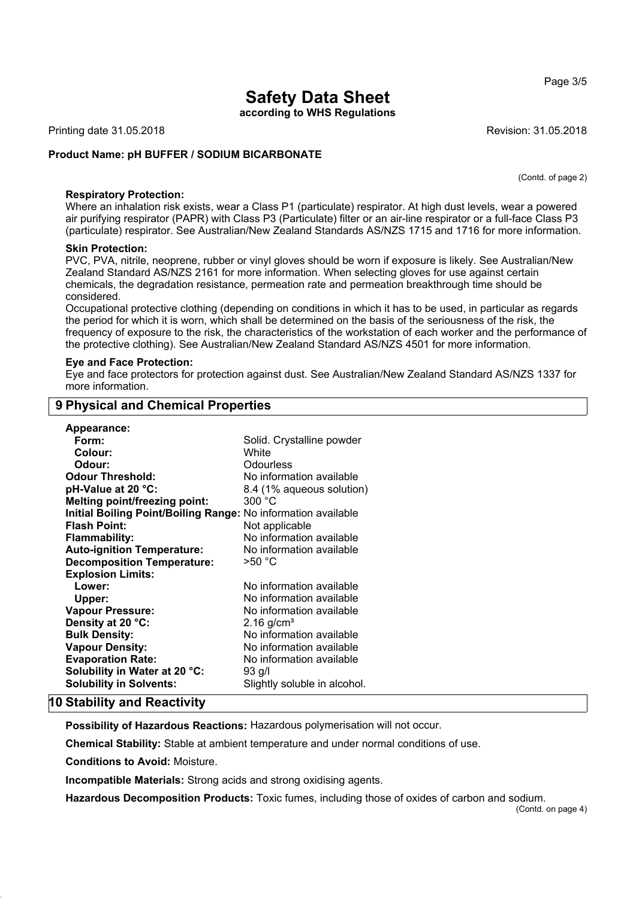**according to WHS Regulations**

Printing date 31.05.2018 **Revision: 31.05.2018** Revision: 31.05.2018

#### **Product Name: pH BUFFER / SODIUM BICARBONATE**

(Contd. of page 2)

#### **Respiratory Protection:**

Where an inhalation risk exists, wear a Class P1 (particulate) respirator. At high dust levels, wear a powered air purifying respirator (PAPR) with Class P3 (Particulate) filter or an air-line respirator or a full-face Class P3 (particulate) respirator. See Australian/New Zealand Standards AS/NZS 1715 and 1716 for more information.

#### **Skin Protection:**

PVC, PVA, nitrile, neoprene, rubber or vinyl gloves should be worn if exposure is likely. See Australian/New Zealand Standard AS/NZS 2161 for more information. When selecting gloves for use against certain chemicals, the degradation resistance, permeation rate and permeation breakthrough time should be considered.

Occupational protective clothing (depending on conditions in which it has to be used, in particular as regards the period for which it is worn, which shall be determined on the basis of the seriousness of the risk, the frequency of exposure to the risk, the characteristics of the workstation of each worker and the performance of the protective clothing). See Australian/New Zealand Standard AS/NZS 4501 for more information.

#### **Eye and Face Protection:**

**9 Physical and Chemical Properties**

Eye and face protectors for protection against dust. See Australian/New Zealand Standard AS/NZS 1337 for more information.

| Appearance:                                                   |                              |
|---------------------------------------------------------------|------------------------------|
| Form:                                                         | Solid. Crystalline powder    |
| Colour:                                                       | White                        |
| Odour:                                                        | Odourless                    |
| <b>Odour Threshold:</b>                                       | No information available     |
| pH-Value at 20 °C:                                            | 8.4 (1% aqueous solution)    |
| <b>Melting point/freezing point:</b>                          | 300 °C                       |
| Initial Boiling Point/Boiling Range: No information available |                              |
| <b>Flash Point:</b>                                           | Not applicable               |
| <b>Flammability:</b>                                          | No information available     |
| <b>Auto-ignition Temperature:</b>                             | No information available     |
| <b>Decomposition Temperature:</b>                             | $>50^{\circ}$ C              |
| <b>Explosion Limits:</b>                                      |                              |
| Lower:                                                        | No information available     |
| Upper:                                                        | No information available     |
| <b>Vapour Pressure:</b>                                       | No information available     |
| Density at 20 °C:                                             | $2.16$ g/cm <sup>3</sup>     |
| <b>Bulk Density:</b>                                          | No information available     |
| <b>Vapour Density:</b>                                        | No information available     |
| <b>Evaporation Rate:</b>                                      | No information available     |
| Solubility in Water at 20 °C:                                 | 93 g/l                       |
| <b>Solubility in Solvents:</b>                                | Slightly soluble in alcohol. |

# **10 Stability and Reactivity**

**Possibility of Hazardous Reactions:** Hazardous polymerisation will not occur.

**Chemical Stability:** Stable at ambient temperature and under normal conditions of use.

**Conditions to Avoid:** Moisture.

**Incompatible Materials:** Strong acids and strong oxidising agents.

**Hazardous Decomposition Products:** Toxic fumes, including those of oxides of carbon and sodium.

#### Page 3/5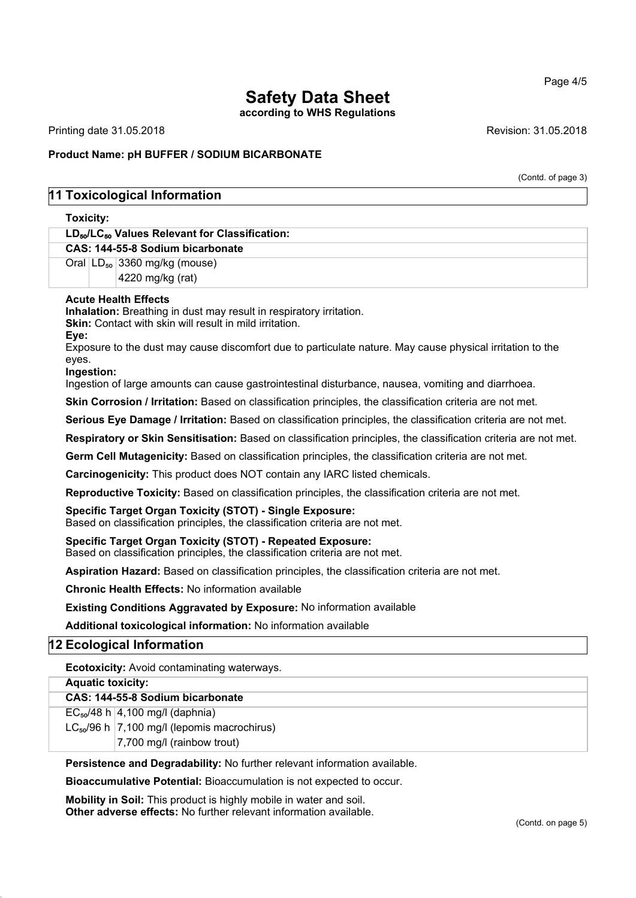#### Page 4/5

# **Safety Data Sheet**

**according to WHS Regulations**

Printing date 31.05.2018 **Revision: 31.05.2018** Revision: 31.05.2018

## **Product Name: pH BUFFER / SODIUM BICARBONATE**

(Contd. of page 3)

## **11 Toxicological Information**

# **Toxicity: LD**₅₀**/LC**₅₀ **Values Relevant for Classification: CAS: 144-55-8 Sodium bicarbonate** Oral LD<sub>50</sub> 3360 mg/kg (mouse) 4220 mg/kg (rat) **Acute Health Effects Inhalation:** Breathing in dust may result in respiratory irritation. **Skin:** Contact with skin will result in mild irritation. **Eye:** Exposure to the dust may cause discomfort due to particulate nature. May cause physical irritation to the eyes. **Ingestion:** Ingestion of large amounts can cause gastrointestinal disturbance, nausea, vomiting and diarrhoea. **Skin Corrosion / Irritation:** Based on classification principles, the classification criteria are not met. **Serious Eye Damage / Irritation:** Based on classification principles, the classification criteria are not met. **Respiratory or Skin Sensitisation:** Based on classification principles, the classification criteria are not met.

**Germ Cell Mutagenicity:** Based on classification principles, the classification criteria are not met.

**Carcinogenicity:** This product does NOT contain any IARC listed chemicals.

**Reproductive Toxicity:** Based on classification principles, the classification criteria are not met.

#### **Specific Target Organ Toxicity (STOT) - Single Exposure:**

Based on classification principles, the classification criteria are not met.

**Specific Target Organ Toxicity (STOT) - Repeated Exposure:** Based on classification principles, the classification criteria are not met.

**Aspiration Hazard:** Based on classification principles, the classification criteria are not met.

**Chronic Health Effects:** No information available

**Existing Conditions Aggravated by Exposure:** No information available

**Additional toxicological information:** No information available

## **12 Ecological Information**

**Ecotoxicity:** Avoid contaminating waterways.

| <b>Aquatic toxicity:</b> |                                                   |  |
|--------------------------|---------------------------------------------------|--|
|                          | CAS: 144-55-8 Sodium bicarbonate                  |  |
|                          | $EC_{50}/48$ h   4,100 mg/l (daphnia)             |  |
|                          | $LC_{50}/96$ h   7,100 mg/l (lepomis macrochirus) |  |
|                          | 7,700 mg/l (rainbow trout)                        |  |

**Persistence and Degradability:** No further relevant information available.

**Bioaccumulative Potential:** Bioaccumulation is not expected to occur.

**Mobility in Soil:** This product is highly mobile in water and soil. **Other adverse effects:** No further relevant information available.